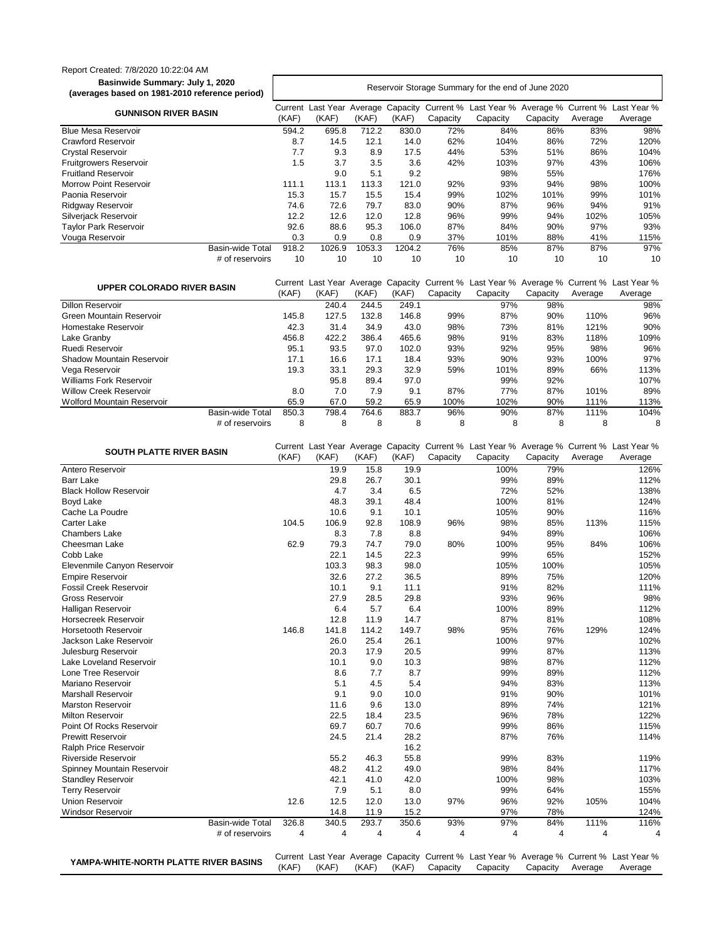## Report Created: 7/8/2020 10:22:04 AM **Basinwide Summary: July 1, 2020**

**(averages based on 1981-2010 reference period)** Reservoir Storage Summary for the end of June 2020 **GUNNISON RIVER BASIN** (KAF) Last Year Average Capacity Current % Last Year % Average % Current % Last Year % (KAF) (KAF) (KAF) **Capacity Capacity Capacity** Average Average Blue Mesa Reservoir **594.2** 695.8 712.2 830.0 72% 84% 86% 83% 98% Crawford Reservoir 8.7 14.5 12.1 14.0 62% 104% 86% 72% 120% Crystal Reservoir 7.7 9.3 8.9 17.5 44% 53% 51% 86% 104% Fruitgrowers Reservoir 1.5 3.7 3.5 3.6 42% 103% 97% 43% 106% Fruitland Reservoir 9.0 5.1 9.2 98% 55% 176% Morrow Point Reservoir 111.1 113.1 113.3 121.0 92% 93% 94% 98% 100% Paonia Reservoir 15.3 15.7 15.5 15.4 99% 102% 101% 99% 101% Ridgway Reservoir **12.6 72.6 79.7 83.0 90% 87% 96% 94%** 91% Silverjack Reservoir **12.2** 12.6 12.0 12.8 96% 99% 94% 102% 105% Taylor Park Reservoir **188.6 88.6 95.3 106.0 87% 84% 90% 97%** 93% Vouga Reservoir **115% 115% 0.3** 0.9 0.8 0.9 37% 101% 88% 41% 115% Basin-wide Total 918.2 1026.9 1053.3 1204.2 76% 85% 87% 87% 97% # of reservoirs 10 10 10 10 10 10 10 10 10

| UPPER COLORADO RIVER BASIN     |       | Current Last Year Average |       |       |          |          |          |         | Capacity Current % Last Year % Average % Current % Last Year % |
|--------------------------------|-------|---------------------------|-------|-------|----------|----------|----------|---------|----------------------------------------------------------------|
|                                | (KAF) | (KAF)                     | (KAF) | (KAF) | Capacity | Capacity | Capacity | Average | Average                                                        |
| <b>Dillon Reservoir</b>        |       | 240.4                     | 244.5 | 249.1 |          | 97%      | 98%      |         | 98%                                                            |
| Green Mountain Reservoir       | 145.8 | 127.5                     | 132.8 | 146.8 | 99%      | 87%      | 90%      | 110%    | 96%                                                            |
| Homestake Reservoir            | 42.3  | 31.4                      | 34.9  | 43.0  | 98%      | 73%      | 81%      | 121%    | 90%                                                            |
| Lake Granby                    | 456.8 | 422.2                     | 386.4 | 465.6 | 98%      | 91%      | 83%      | 118%    | 109%                                                           |
| Ruedi Reservoir                | 95.1  | 93.5                      | 97.0  | 102.0 | 93%      | 92%      | 95%      | 98%     | 96%                                                            |
| Shadow Mountain Reservoir      | 17.1  | 16.6                      | 17.1  | 18.4  | 93%      | 90%      | 93%      | 100%    | 97%                                                            |
| Vega Reservoir                 | 19.3  | 33.1                      | 29.3  | 32.9  | 59%      | 101%     | 89%      | 66%     | 113%                                                           |
| <b>Williams Fork Reservoir</b> |       | 95.8                      | 89.4  | 97.0  |          | 99%      | 92%      |         | 107%                                                           |
| <b>Willow Creek Reservoir</b>  | 8.0   | 7.0                       | 7.9   | 9.1   | 87%      | 77%      | 87%      | 101%    | 89%                                                            |
| Wolford Mountain Reservoir     | 65.9  | 67.0                      | 59.2  | 65.9  | 100%     | 102%     | 90%      | 111%    | 113%                                                           |
| Basin-wide Total               | 850.3 | 798.4                     | 764.6 | 883.7 | 96%      | 90%      | 87%      | 111%    | 104%                                                           |
| # of reservoirs                | 8     | 8                         | 8     | 8     | 8        | 8        | 8        | 8       | 8                                                              |

| <b>SOUTH PLATTE RIVER BASIN</b>       |       |                         |       |       |          | Current Last Year Average Capacity Current % Last Year % Average % Current % Last Year % |          |                         |                |
|---------------------------------------|-------|-------------------------|-------|-------|----------|------------------------------------------------------------------------------------------|----------|-------------------------|----------------|
|                                       | (KAF) | (KAF)                   | (KAF) | (KAF) | Capacity | Capacity                                                                                 | Capacity | Average                 | Average        |
| Antero Reservoir                      |       | 19.9                    | 15.8  | 19.9  |          | 100%                                                                                     | 79%      |                         | 126%           |
| <b>Barr Lake</b>                      |       | 29.8                    | 26.7  | 30.1  |          | 99%                                                                                      | 89%      |                         | 112%           |
| <b>Black Hollow Reservoir</b>         |       | 4.7                     | 3.4   | 6.5   |          | 72%                                                                                      | 52%      |                         | 138%           |
| <b>Boyd Lake</b>                      |       | 48.3                    | 39.1  | 48.4  |          | 100%                                                                                     | 81%      |                         | 124%           |
| Cache La Poudre                       |       | 10.6                    | 9.1   | 10.1  |          | 105%                                                                                     | 90%      |                         | 116%           |
| <b>Carter Lake</b>                    | 104.5 | 106.9                   | 92.8  | 108.9 | 96%      | 98%                                                                                      | 85%      | 113%                    | 115%           |
| <b>Chambers Lake</b>                  |       | 8.3                     | 7.8   | 8.8   |          | 94%                                                                                      | 89%      |                         | 106%           |
| Cheesman Lake                         | 62.9  | 79.3                    | 74.7  | 79.0  | 80%      | 100%                                                                                     | 95%      | 84%                     | 106%           |
| Cobb Lake                             |       | 22.1                    | 14.5  | 22.3  |          | 99%                                                                                      | 65%      |                         | 152%           |
| Elevenmile Canyon Reservoir           |       | 103.3                   | 98.3  | 98.0  |          | 105%                                                                                     | 100%     |                         | 105%           |
| <b>Empire Reservoir</b>               |       | 32.6                    | 27.2  | 36.5  |          | 89%                                                                                      | 75%      |                         | 120%           |
| <b>Fossil Creek Reservoir</b>         |       | 10.1                    | 9.1   | 11.1  |          | 91%                                                                                      | 82%      |                         | 111%           |
| <b>Gross Reservoir</b>                |       | 27.9                    | 28.5  | 29.8  |          | 93%                                                                                      | 96%      |                         | 98%            |
| Halligan Reservoir                    |       | 6.4                     | 5.7   | 6.4   |          | 100%                                                                                     | 89%      |                         | 112%           |
| Horsecreek Reservoir                  |       | 12.8                    | 11.9  | 14.7  |          | 87%                                                                                      | 81%      |                         | 108%           |
| <b>Horsetooth Reservoir</b>           | 146.8 | 141.8                   | 114.2 | 149.7 | 98%      | 95%                                                                                      | 76%      | 129%                    | 124%           |
| Jackson Lake Reservoir                |       | 26.0                    | 25.4  | 26.1  |          | 100%                                                                                     | 97%      |                         | 102%           |
| Julesburg Reservoir                   |       | 20.3                    | 17.9  | 20.5  |          | 99%                                                                                      | 87%      |                         | 113%           |
| Lake Loveland Reservoir               |       | 10.1                    | 9.0   | 10.3  |          | 98%                                                                                      | 87%      |                         | 112%           |
| Lone Tree Reservoir                   |       | 8.6                     | 7.7   | 8.7   |          | 99%                                                                                      | 89%      |                         | 112%           |
| Mariano Reservoir                     |       | 5.1                     | 4.5   | 5.4   |          | 94%                                                                                      | 83%      |                         | 113%           |
| <b>Marshall Reservoir</b>             |       | 9.1                     | 9.0   | 10.0  |          | 91%                                                                                      | 90%      |                         | 101%           |
| <b>Marston Reservoir</b>              |       | 11.6                    | 9.6   | 13.0  |          | 89%                                                                                      | 74%      |                         | 121%           |
| <b>Milton Reservoir</b>               |       | 22.5                    | 18.4  | 23.5  |          | 96%                                                                                      | 78%      |                         | 122%           |
| Point Of Rocks Reservoir              |       | 69.7                    | 60.7  | 70.6  |          | 99%                                                                                      | 86%      |                         | 115%           |
| <b>Prewitt Reservoir</b>              |       | 24.5                    | 21.4  | 28.2  |          | 87%                                                                                      | 76%      |                         | 114%           |
| Ralph Price Reservoir                 |       |                         |       | 16.2  |          |                                                                                          |          |                         |                |
| <b>Riverside Reservoir</b>            |       | 55.2                    | 46.3  | 55.8  |          | 99%                                                                                      | 83%      |                         | 119%           |
| Spinney Mountain Reservoir            |       | 48.2                    | 41.2  | 49.0  |          | 98%                                                                                      | 84%      |                         | 117%           |
| <b>Standley Reservoir</b>             |       | 42.1                    | 41.0  | 42.0  |          | 100%                                                                                     | 98%      |                         | 103%           |
| <b>Terry Reservoir</b>                |       | 7.9                     | 5.1   | 8.0   |          | 99%                                                                                      | 64%      |                         | 155%           |
| <b>Union Reservoir</b>                | 12.6  | 12.5                    | 12.0  | 13.0  | 97%      | 96%                                                                                      | 92%      | 105%                    | 104%           |
| <b>Windsor Reservoir</b>              |       | 14.8                    | 11.9  | 15.2  |          | 97%                                                                                      | 78%      |                         | 124%           |
| <b>Basin-wide Total</b>               | 326.8 | 340.5                   | 293.7 | 350.6 | 93%      | 97%                                                                                      | 84%      | 111%                    | 116%           |
| # of reservoirs                       | 4     | $\overline{\mathbf{4}}$ | 4     | 4     | 4        | 4                                                                                        | 4        | $\overline{\mathbf{4}}$ | $\overline{4}$ |
|                                       |       |                         |       |       |          |                                                                                          |          |                         |                |
| YAMPA-WHITE-NORTH PLATTE RIVER BASINS |       |                         |       |       |          | Current Last Year Average Capacity Current % Last Year % Average % Current % Last Year % |          |                         |                |
|                                       | (KAF) | (KAF)                   | (KAF) | (KAF) | Capacity | Capacity                                                                                 | Capacity | Average                 | Average        |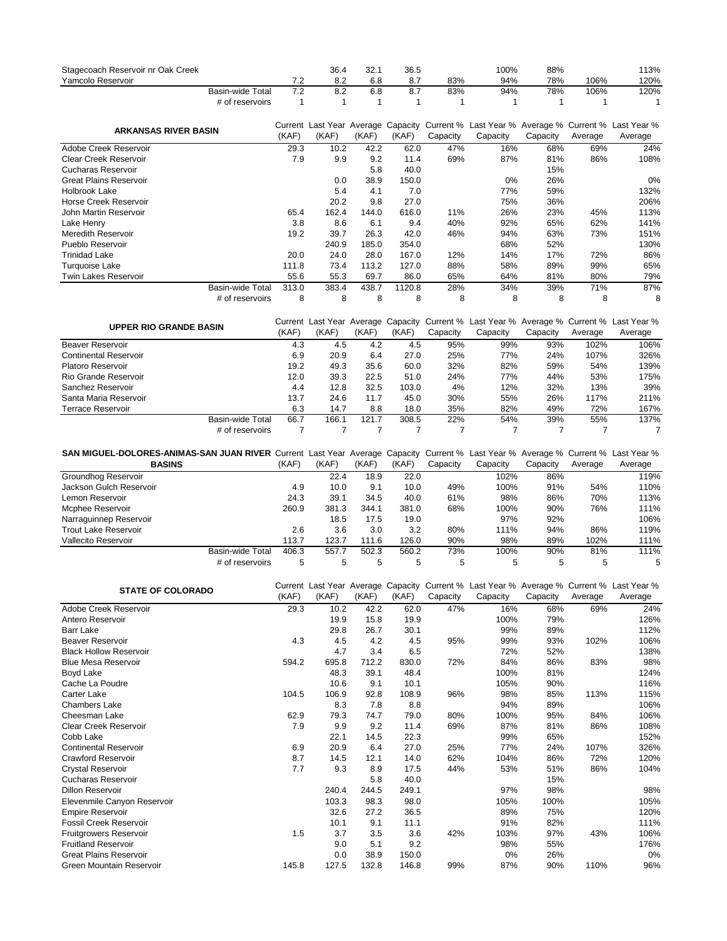| Stagecoach Reservoir nr Oak Creek |                         |       | 36.4  | 32.1  | 36.5   |          | 100%                                                                                                 | 88%      |         | 113%    |
|-----------------------------------|-------------------------|-------|-------|-------|--------|----------|------------------------------------------------------------------------------------------------------|----------|---------|---------|
| Yamcolo Reservoir                 |                         | 7.2   | 8.2   | 6.8   | 8.7    | 83%      | 94%                                                                                                  | 78%      | 106%    | 120%    |
|                                   | <b>Basin-wide Total</b> | 7.2   | 8.2   | 6.8   | 8.7    | 83%      | 94%                                                                                                  | 78%      | 106%    | 120%    |
|                                   | # of reservoirs         |       |       |       |        |          |                                                                                                      |          |         |         |
| <b>ARKANSAS RIVER BASIN</b>       |                         | (KAF) | (KAF) | (KAF) | (KAF)  | Capacity | Current Last Year Average Capacity Current % Last Year % Average % Current % Last Year %<br>Capacity | Capacity | Average | Average |
| Adobe Creek Reservoir             |                         | 29.3  | 10.2  | 42.2  | 62.0   | 47%      | 16%                                                                                                  | 68%      | 69%     | 24%     |
| <b>Clear Creek Reservoir</b>      |                         | 7.9   | 9.9   | 9.2   | 11.4   | 69%      | 87%                                                                                                  | 81%      | 86%     | 108%    |
| <b>Cucharas Reservoir</b>         |                         |       |       | 5.8   | 40.0   |          |                                                                                                      | 15%      |         |         |
| <b>Great Plains Reservoir</b>     |                         |       | 0.0   | 38.9  | 150.0  |          | 0%                                                                                                   | 26%      |         | 0%      |
| Holbrook Lake                     |                         |       | 5.4   | 4.1   | 7.0    |          | 77%                                                                                                  | 59%      |         | 132%    |
| Horse Creek Reservoir             |                         |       | 20.2  | 9.8   | 27.0   |          | 75%                                                                                                  | 36%      |         | 206%    |
| John Martin Reservoir             |                         | 65.4  | 162.4 | 144.0 | 616.0  | 11%      | 26%                                                                                                  | 23%      | 45%     | 113%    |
| Lake Henry                        |                         | 3.8   | 8.6   | 6.1   | 9.4    | 40%      | 92%                                                                                                  | 65%      | 62%     | 141%    |
| Meredith Reservoir                |                         | 19.2  | 39.7  | 26.3  | 42.0   | 46%      | 94%                                                                                                  | 63%      | 73%     | 151%    |
| Pueblo Reservoir                  |                         |       | 240.9 | 185.0 | 354.0  |          | 68%                                                                                                  | 52%      |         | 130%    |
| <b>Trinidad Lake</b>              |                         | 20.0  | 24.0  | 28.0  | 167.0  | 12%      | 14%                                                                                                  | 17%      | 72%     | 86%     |
| Turquoise Lake                    |                         | 111.8 | 73.4  | 113.2 | 127.0  | 88%      | 58%                                                                                                  | 89%      | 99%     | 65%     |
| <b>Twin Lakes Reservoir</b>       |                         | 55.6  | 55.3  | 69.7  | 86.0   | 65%      | 64%                                                                                                  | 81%      | 80%     | 79%     |
|                                   | <b>Basin-wide Total</b> | 313.0 | 383.4 | 438.7 | 1120.8 | 28%      | 34%                                                                                                  | 39%      | 71%     | 87%     |
|                                   | # of reservoirs         | 8     | 8     | 8     | 8      | 8        | 8                                                                                                    | 8        | 8       | 8       |
|                                   |                         |       |       |       |        |          | Current Leat Year, Average, Canadia: Current 0/ Leat Year 0/ Average 0/ Current 0/ Leat Year 0/      |          |         |         |

| <b>UPPER RIO GRANDE BASIN</b> |                          |       |       |       |          | Current Last Year Average Capacity Current % Last Year % Average % Current % Last Year % |          |         |         |
|-------------------------------|--------------------------|-------|-------|-------|----------|------------------------------------------------------------------------------------------|----------|---------|---------|
|                               | (KAF)                    | (KAF) | (KAF) | (KAF) | Capacity | Capacity                                                                                 | Capacity | Average | Average |
| Beaver Reservoir              | 4.3                      | 4.5   | 4.2   | 4.5   | 95%      | 99%                                                                                      | 93%      | 102%    | 106%    |
| <b>Continental Reservoir</b>  | 6.9                      | 20.9  | 6.4   | 27.0  | 25%      | 77%                                                                                      | 24%      | 107%    | 326%    |
| Platoro Reservoir             | 19.2                     | 49.3  | 35.6  | 60.0  | 32%      | 82%                                                                                      | 59%      | 54%     | 139%    |
| Rio Grande Reservoir          | 12.0                     | 39.3  | 22.5  | 51.0  | 24%      | 77%                                                                                      | 44%      | 53%     | 175%    |
| Sanchez Reservoir             | 4.4                      | 12.8  | 32.5  | 103.0 | 4%       | 12%                                                                                      | 32%      | 13%     | 39%     |
| Santa Maria Reservoir         | 13.7                     | 24.6  | 11.7  | 45.0  | 30%      | 55%                                                                                      | 26%      | 117%    | 211%    |
| Terrace Reservoir             | 6.3                      | 14.7  | 8.8   | 18.0  | 35%      | 82%                                                                                      | 49%      | 72%     | 167%    |
|                               | 66.7<br>Basin-wide Total | 166.1 | 121.7 | 308.5 | 22%      | 54%                                                                                      | 39%      | 55%     | 137%    |
|                               | # of reservoirs          |       |       |       |          |                                                                                          |          |         |         |

| SAN MIGUEL-DOLORES-ANIMAS-SAN JUAN RIVER Current Last Year Average Capacity Current % Last Year % Average % Current % Last Year % |                           |        |       |       |          |          |          |         |         |  |
|-----------------------------------------------------------------------------------------------------------------------------------|---------------------------|--------|-------|-------|----------|----------|----------|---------|---------|--|
| <b>BASINS</b>                                                                                                                     |                           | (KAF)  | (KAF) | (KAF) | Capacity | Capacity | Capacity | Average | Average |  |
| Groundhog Reservoir                                                                                                               |                           | 22.4   | 18.9  | 22.0  |          | 102%     | 86%      |         | 119%    |  |
| Jackson Gulch Reservoir                                                                                                           | 4.9                       | 10.0   | 9.1   | 10.0  | 49%      | 100%     | 91%      | 54%     | 110%    |  |
| Lemon Reservoir                                                                                                                   | 24.3                      | 39.1   | 34.5  | 40.0  | 61%      | 98%      | 86%      | 70%     | 113%    |  |
| Mcphee Reservoir                                                                                                                  | 260.9                     | 381.3  | 344.1 | 381.0 | 68%      | 100%     | 90%      | 76%     | 111%    |  |
| Narraguinnep Reservoir                                                                                                            |                           | 18.5   | 17.5  | 19.0  |          | 97%      | 92%      |         | 106%    |  |
| <b>Trout Lake Reservoir</b>                                                                                                       | 2.6                       | 3.6    | 3.0   | 3.2   | 80%      | 111%     | 94%      | 86%     | 119%    |  |
| Vallecito Reservoir                                                                                                               | 113.7                     | 123.7  | 111.6 | 126.0 | 90%      | 98%      | 89%      | 102%    | 111%    |  |
|                                                                                                                                   | Basin-wide Total<br>406.3 | 557.7  | 502.3 | 560.2 | 73%      | 100%     | 90%      | 81%     | 111%    |  |
|                                                                                                                                   | # of reservoirs           | 5<br>5 | 5     | 5     | 5        | 5        | 5        | 5       | 5       |  |

| <b>STATE OF COLORADO</b>      |       | Current Last Year Average Capacity |       |       |          |          |          |         | Current % Last Year % Average % Current % Last Year % |
|-------------------------------|-------|------------------------------------|-------|-------|----------|----------|----------|---------|-------------------------------------------------------|
|                               | (KAF) | (KAF)                              | (KAF) | (KAF) | Capacity | Capacity | Capacity | Average | Average                                               |
| Adobe Creek Reservoir         | 29.3  | 10.2                               | 42.2  | 62.0  | 47%      | 16%      | 68%      | 69%     | 24%                                                   |
| Antero Reservoir              |       | 19.9                               | 15.8  | 19.9  |          | 100%     | 79%      |         | 126%                                                  |
| <b>Barr Lake</b>              |       | 29.8                               | 26.7  | 30.1  |          | 99%      | 89%      |         | 112%                                                  |
| <b>Beaver Reservoir</b>       | 4.3   | 4.5                                | 4.2   | 4.5   | 95%      | 99%      | 93%      | 102%    | 106%                                                  |
| <b>Black Hollow Reservoir</b> |       | 4.7                                | 3.4   | 6.5   |          | 72%      | 52%      |         | 138%                                                  |
| <b>Blue Mesa Reservoir</b>    | 594.2 | 695.8                              | 712.2 | 830.0 | 72%      | 84%      | 86%      | 83%     | 98%                                                   |
| <b>Boyd Lake</b>              |       | 48.3                               | 39.1  | 48.4  |          | 100%     | 81%      |         | 124%                                                  |
| Cache La Poudre               |       | 10.6                               | 9.1   | 10.1  |          | 105%     | 90%      |         | 116%                                                  |
| <b>Carter Lake</b>            | 104.5 | 106.9                              | 92.8  | 108.9 | 96%      | 98%      | 85%      | 113%    | 115%                                                  |
| <b>Chambers Lake</b>          |       | 8.3                                | 7.8   | 8.8   |          | 94%      | 89%      |         | 106%                                                  |
| Cheesman Lake                 | 62.9  | 79.3                               | 74.7  | 79.0  | 80%      | 100%     | 95%      | 84%     | 106%                                                  |
| Clear Creek Reservoir         | 7.9   | 9.9                                | 9.2   | 11.4  | 69%      | 87%      | 81%      | 86%     | 108%                                                  |
| Cobb Lake                     |       | 22.1                               | 14.5  | 22.3  |          | 99%      | 65%      |         | 152%                                                  |
| <b>Continental Reservoir</b>  | 6.9   | 20.9                               | 6.4   | 27.0  | 25%      | 77%      | 24%      | 107%    | 326%                                                  |
| <b>Crawford Reservoir</b>     | 8.7   | 14.5                               | 12.1  | 14.0  | 62%      | 104%     | 86%      | 72%     | 120%                                                  |
| <b>Crystal Reservoir</b>      | 7.7   | 9.3                                | 8.9   | 17.5  | 44%      | 53%      | 51%      | 86%     | 104%                                                  |
| Cucharas Reservoir            |       |                                    | 5.8   | 40.0  |          |          | 15%      |         |                                                       |
| <b>Dillon Reservoir</b>       |       | 240.4                              | 244.5 | 249.1 |          | 97%      | 98%      |         | 98%                                                   |
| Elevenmile Canyon Reservoir   |       | 103.3                              | 98.3  | 98.0  |          | 105%     | 100%     |         | 105%                                                  |
| <b>Empire Reservoir</b>       |       | 32.6                               | 27.2  | 36.5  |          | 89%      | 75%      |         | 120%                                                  |
| <b>Fossil Creek Reservoir</b> |       | 10.1                               | 9.1   | 11.1  |          | 91%      | 82%      |         | 111%                                                  |
| Fruitgrowers Reservoir        | 1.5   | 3.7                                | 3.5   | 3.6   | 42%      | 103%     | 97%      | 43%     | 106%                                                  |
| <b>Fruitland Reservoir</b>    |       | 9.0                                | 5.1   | 9.2   |          | 98%      | 55%      |         | 176%                                                  |
| <b>Great Plains Reservoir</b> |       | 0.0                                | 38.9  | 150.0 |          | 0%       | 26%      |         | 0%                                                    |
| Green Mountain Reservoir      | 145.8 | 127.5                              | 132.8 | 146.8 | 99%      | 87%      | 90%      | 110%    | 96%                                                   |